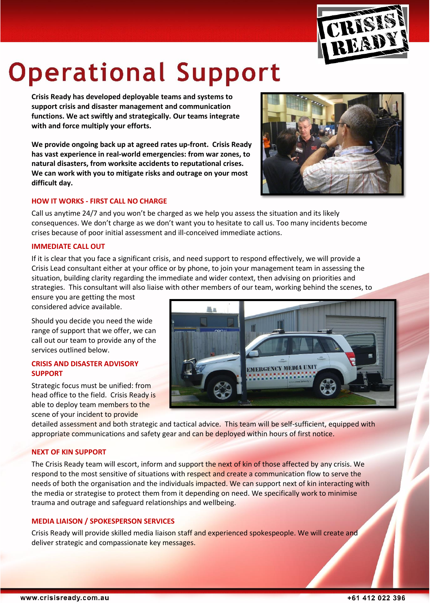

# **Operational Support**

**Crisis Ready has developed deployable teams and systems to support crisis and disaster management and communication functions. We act swiftly and strategically. Our teams integrate with and force multiply your efforts.**

**We provide ongoing back up at agreed rates up-front. Crisis Ready has vast experience in real-world emergencies: from war zones, to natural disasters, from worksite accidents to reputational crises. We can work with you to mitigate risks and outrage on your most difficult day.**





Call us anytime 24/7 and you won't be charged as we help you assess the situation and its likely consequences. We don't charge as we don't want you to hesitate to call us. Too many incidents become crises because of poor initial assessment and ill-conceived immediate actions.

# **IMMEDIATE CALL OUT**

If it is clear that you face a significant crisis, and need support to respond effectively, we will provide a Crisis Lead consultant either at your office or by phone, to join your management team in assessing the situation, building clarity regarding the immediate and wider context, then advising on priorities and strategies. This consultant will also liaise with other members of our team, working behind the scenes, to

ensure you are getting the most considered advice available.

Should you decide you need the wide range of support that we offer, we can call out our team to provide any of the services outlined below.

#### **CRISIS AND DISASTER ADVISORY SUPPORT**

Strategic focus must be unified: from head office to the field. Crisis Ready is able to deploy team members to the scene of your incident to provide



detailed assessment and both strategic and tactical advice. This team will be self-sufficient, equipped with appropriate communications and safety gear and can be deployed within hours of first notice.

# **NEXT OF KIN SUPPORT**

The Crisis Ready team will escort, inform and support the next of kin of those affected by any crisis. We respond to the most sensitive of situations with respect and create a communication flow to serve the needs of both the organisation and the individuals impacted. We can support next of kin interacting with the media or strategise to protect them from it depending on need. We specifically work to minimise trauma and outrage and safeguard relationships and wellbeing.

# **MEDIA LIAISON / SPOKESPERSON SERVICES**

Crisis Ready will provide skilled media liaison staff and experienced spokespeople. We will create and deliver strategic and compassionate key messages.